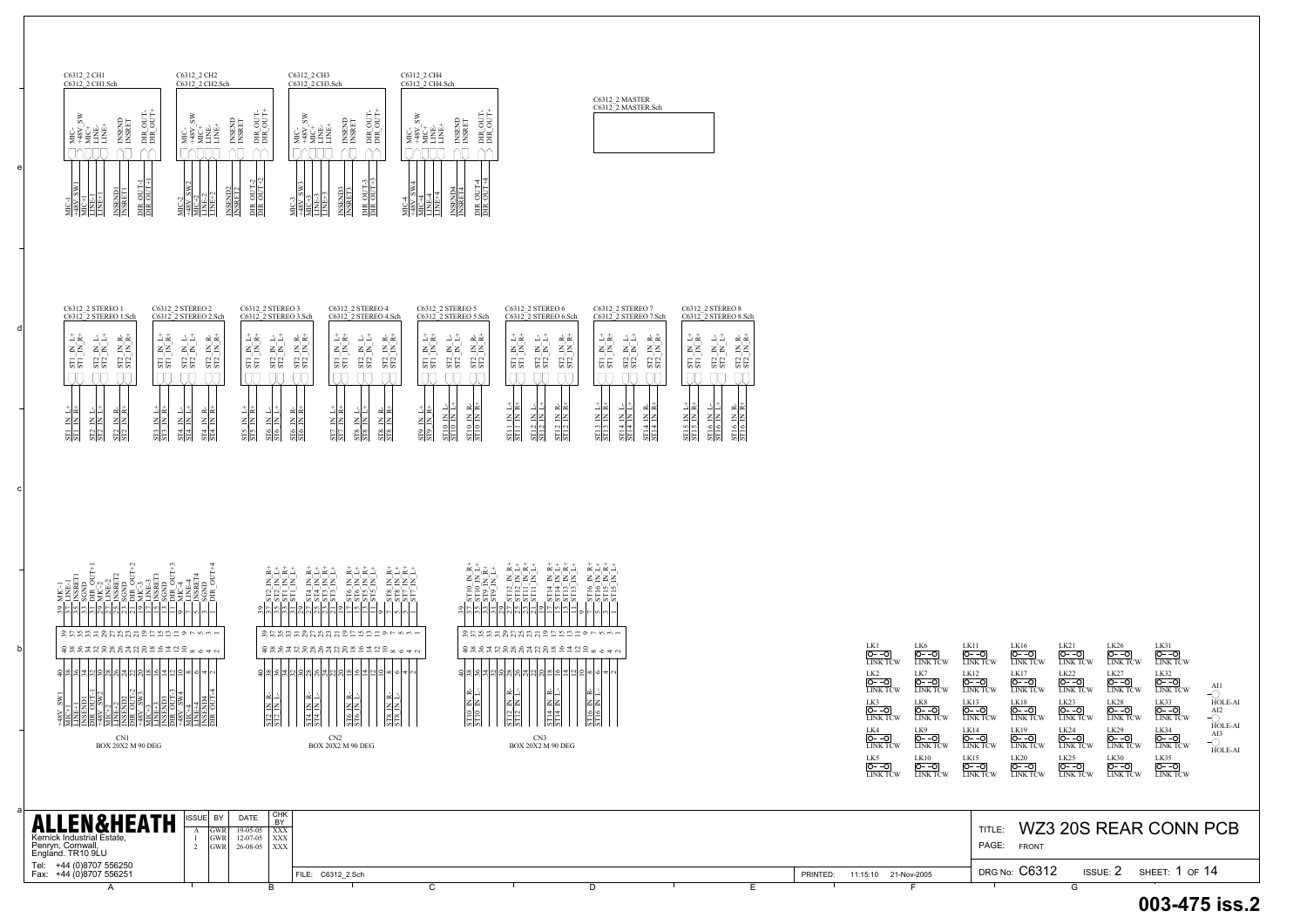b

c

d

e



|                                                                                                                                                                                                                                                                 | $\frac{L}{L}$<br>$\frac{\overline{O^- - O}}{\overline{L} \cdot \overline{D}}$<br>$\frac{ O--O }{LINK\ TCW}$ | $\frac{\overline{O^- - O}}{\overline{L}N}$<br>$\underbrace{\overline{O^- - O}}_{\text{LINK TCW}}$<br>$\frac{O - -O}{LINK TCW}$<br>$\frac{1}{0-0}$<br>$\frac{O - -O}{V \cdot \text{INK} \cdot \text{TCW}}$<br><b>INK TCW</b> |
|-----------------------------------------------------------------------------------------------------------------------------------------------------------------------------------------------------------------------------------------------------------------|-------------------------------------------------------------------------------------------------------------|-----------------------------------------------------------------------------------------------------------------------------------------------------------------------------------------------------------------------------|
| I CHK<br><b>DATE</b><br>ISSUE BY<br><b>ALLEN&amp;HEATH</b><br><b>BY</b><br>$19-05-05$ $\overline{)$ XXX<br><b>GWR</b><br>Kernick Industrial Estate,<br>$GWR$ 12-07-05 $XXX$<br>$26-08-05$ $\overline{)$ XXX<br>Penryn, Cornwall,<br>England. TR10 9LU<br>IGWR L |                                                                                                             | WZ3 20S REAR CONN PCB<br>TITLE:<br>PAGE:<br><b>FRONT</b>                                                                                                                                                                    |
| Tel: +44 (0)8707 556250<br>Fax: +44 (0)8707 556251                                                                                                                                                                                                              | 11:15:10 21-Nov-2005<br>PRINTED:<br>FILE: C6312 2.Sch                                                       | DRG No: C6312<br>ISSUE: $2$ SHEET: 1 OF 14                                                                                                                                                                                  |
|                                                                                                                                                                                                                                                                 |                                                                                                             |                                                                                                                                                                                                                             |

C6312\_2 MASTER C6312\_2 MASTER.Sch

|                                                                                                                                                                                                                                                                                                                                                                                                                                                                                                                                                                                                                                                                                                               | C6312 2 CH1<br>C6312 2 CH2<br>C6312 <sup>-2</sup> CH1.Sch<br>C6312 2 CH2.Sch | C6312 2 CH3<br>C6312 <sup>-</sup> 2 CH3.Sch | C6312 2 CH4<br>C6312 2 CH4.Sch |
|---------------------------------------------------------------------------------------------------------------------------------------------------------------------------------------------------------------------------------------------------------------------------------------------------------------------------------------------------------------------------------------------------------------------------------------------------------------------------------------------------------------------------------------------------------------------------------------------------------------------------------------------------------------------------------------------------------------|------------------------------------------------------------------------------|---------------------------------------------|--------------------------------|
| ÷<br>÷<br>÷<br>š<br>ŠΝ<br>š<br>5<br>J<br>5<br>5<br>JU<br><b>INSEND</b><br>INSRET<br><b>INSEND</b><br>NSBET<br><b>INSEND</b><br>INSRET<br>ಠ<br><b>INSENT</b><br>INSRET<br>ನ<br>Ë<br>Ë<br>Ë<br>Ė<br>Ë<br>Ę<br>₽<br>48V<br>48V<br>у<br>Б<br>ζ.<br>Σ<br>С.<br>Э<br>ЭI<br>М<br>С<br>Э<br>ЭIМ<br>E<br>DIR<br>$\frac{8}{3}$<br>$\overline{B}$<br>$-48$<br><b>EE</b><br>$\overline{D}$<br>Σ<br>Ĕ<br>시농<br>ᆉ<br>4<br>$\sim$<br>SW <sub>2</sub><br>SW4<br>SW <sub>3</sub><br>SW1<br>턣<br><b>INSEND4</b><br>INSRET4<br>턞<br><b>INSEND3</b><br>INSRET3<br>턞<br>뱖<br><b>INSEND2</b><br>INSRET2<br><u>INSENDI</u><br>INSRETI<br>ෑ<br>$\sim$<br>$\sim$<br>4<br>₽<br>Ę<br>Ę<br>빓<br>빓<br>틦<br>빓<br>â<br>≘<br>⋸<br>⋍<br>₹<br>٠ |                                                                              |                                             | ਰ<br>EÉ                        |



| C6312 2 STEREO 1                                                                           | C6312 2 STEREO 2                                                                                           | C6312 2 STEREO 3                                                                               | C6312 2 STEREO 4                                                                   | C6312 2 STEREO 5                                                                          | C6312 2 STEREO 6                                                                    | C6312 2 STEREO 7                                                                                     | C6312 2 STEREO 8                                                                                        |
|--------------------------------------------------------------------------------------------|------------------------------------------------------------------------------------------------------------|------------------------------------------------------------------------------------------------|------------------------------------------------------------------------------------|-------------------------------------------------------------------------------------------|-------------------------------------------------------------------------------------|------------------------------------------------------------------------------------------------------|---------------------------------------------------------------------------------------------------------|
| C6312 2 STEREO 1.Sch                                                                       | C6312 2 STEREO 2.Sch                                                                                       | C6312 2 STEREO 3.Sch                                                                           | C6312 2 STEREO 4.Sch                                                               | C6312 2 STEREO 5.Sch                                                                      | C6312 2 STEREO 6.Sch                                                                | C6312 2 STEREO 7.Sch                                                                                 | C6312 2 STEREO 8.Sch                                                                                    |
| یے ت<br>$\propto \propto$<br>ΞZ<br>zΖ<br>ΞZ<br>$\overline{\text{S}12}$<br>QQ<br>55<br>i vi | $\propto \propto$<br>≀ ≃<br>ΞZ<br>zΣ<br>ZZ<br>$U_{\mathcal{M}}$<br>$\sim$ $\sim$<br><b>SE</b><br>125<br>55 | ≃≃<br>∠ د<br>ΞZ<br>zΖ<br>ΞZ<br>$\frac{ST2}{ST2}$<br>ST2<br>$ -$<br><b>SE</b>                   | ここ<br>≃≃<br>ΞZ<br>zΣ<br>ΞZ<br>$\frac{ST2}{ST2}$<br>$\frac{ST2}{ST2}$<br><b>SEI</b> | $\alpha \propto$<br>ు ∝<br>ΞZ<br>zΖ<br>ΞZ<br>$\frac{12}{12}$<br>$N_{\rm N}$<br>55<br>່ຕ່ຕ | $\propto \propto$<br>ے ت<br>zΣ<br>ΞZ<br>ΞZ<br>ST2<br>$\sim$ $\sim$<br>35<br>55 S    | ≃≃<br>س ا<br>ΞZ<br>ΞZ<br>ΞZ<br>ы, ы<br>$\frac{ST2}{ST2}$<br>$-1$<br><b>SE</b><br>55<br>5             | ین ت<br>$\alpha \propto$<br>zΣ<br>zΣ<br>zz<br>$\frac{12}{12}$<br>$\sim$ $\sim$<br>SE <sub>I</sub><br>55 |
| 귀척<br>ΞE<br>Zβ<br>ZΖ<br>입의<br>ធានា<br>의언                                                   | ط∣⊏<br>≃l≃<br>Z∣Z<br>z∣z<br>ZΔ<br>$\frac{24}{514}$<br>$rac{514}{514}$<br><b>SE</b>                         | ≃l≃.<br>≫ات<br>ᅴᅴ<br>ZΣ<br>ΞE<br>김김<br>$\frac{25}{212}$<br>$rac{516}{516}$<br>$\frac{25}{515}$ | ≫ات<br>≃l≃<br>ΖZ<br>김김<br>召召<br>$\infty$<br>$\frac{8}{25}$<br>517<br>517<br>임설     | ≃l≃<br>⊾ا⊏<br>ΣB<br>ZZ<br>ΞE<br>$\frac{210}{15}$<br>22<br>$\frac{8}{25}$<br>의의            | 귀취<br>≃l≃l<br>تسالب<br>zlz<br>김김<br>김김<br>$\frac{12}{512}$<br>$\frac{12}{112}$<br>덃 | ≃∝<br>⊾ا⊏<br>ΞZ<br>ZΣ<br>ZΖ<br>$\frac{2}{1}$<br>$\frac{\text{ST}14}{\text{ST}14}$<br>414<br>의의<br>의적 | 괴적<br>ച⊿<br>ZZ<br>zΙz<br>$\frac{10}{10}$<br>$\frac{15}{15}$                                             |

| $\text{CW}$ | LK16<br>IO--O<br><b>LINK TCW</b> | LK21<br>O--O<br>LINK TCW                        | LK26<br>O- -O<br><b>LINK TCW</b>              | LK31<br>$O--O$<br><b>LINK TCW</b> |                                         |
|-------------|----------------------------------|-------------------------------------------------|-----------------------------------------------|-----------------------------------|-----------------------------------------|
| CW          | LK17<br>O--O<br><b>LINK TCW</b>  | LK <sub>22</sub><br>$O - -O$<br><b>LINK TCW</b> | LK27<br>$O--O$<br><b>LINK TCW</b>             | LK32<br>$O--O$<br><b>LINK TCW</b> | AI1                                     |
| $\text{CW}$ | LK18<br>O--O<br><b>LINK TCW</b>  | LK <sub>23</sub><br>$O - -O$<br>LINK TCW        | LK28<br>O--O<br><b>LINK TCW</b>               | LK33<br>O--O<br><b>LINK TCW</b>   | HOLE-AI<br>AI <sub>2</sub>              |
| CW          | LK19<br>O--O<br><b>LINK TCW</b>  | LK <sub>24</sub><br>$O--O$<br><b>LINK TCW</b>   | LK <sub>29</sub><br>$O--O$<br><b>LINK TCW</b> | LK34<br>O--O<br><b>LINK TCW</b>   | <b>HOLE-AI</b><br>AI3<br><b>HOLE-AI</b> |
| ĊW          | LK20<br>O--O<br>LINK TCW         | LK <sub>25</sub><br>$O - -O$<br>LINK TCW        | LK30<br>O- -O<br><b>LINK TCW</b>              | LK35<br>O--O<br>LINK TCW          |                                         |
|             |                                  |                                                 |                                               |                                   |                                         |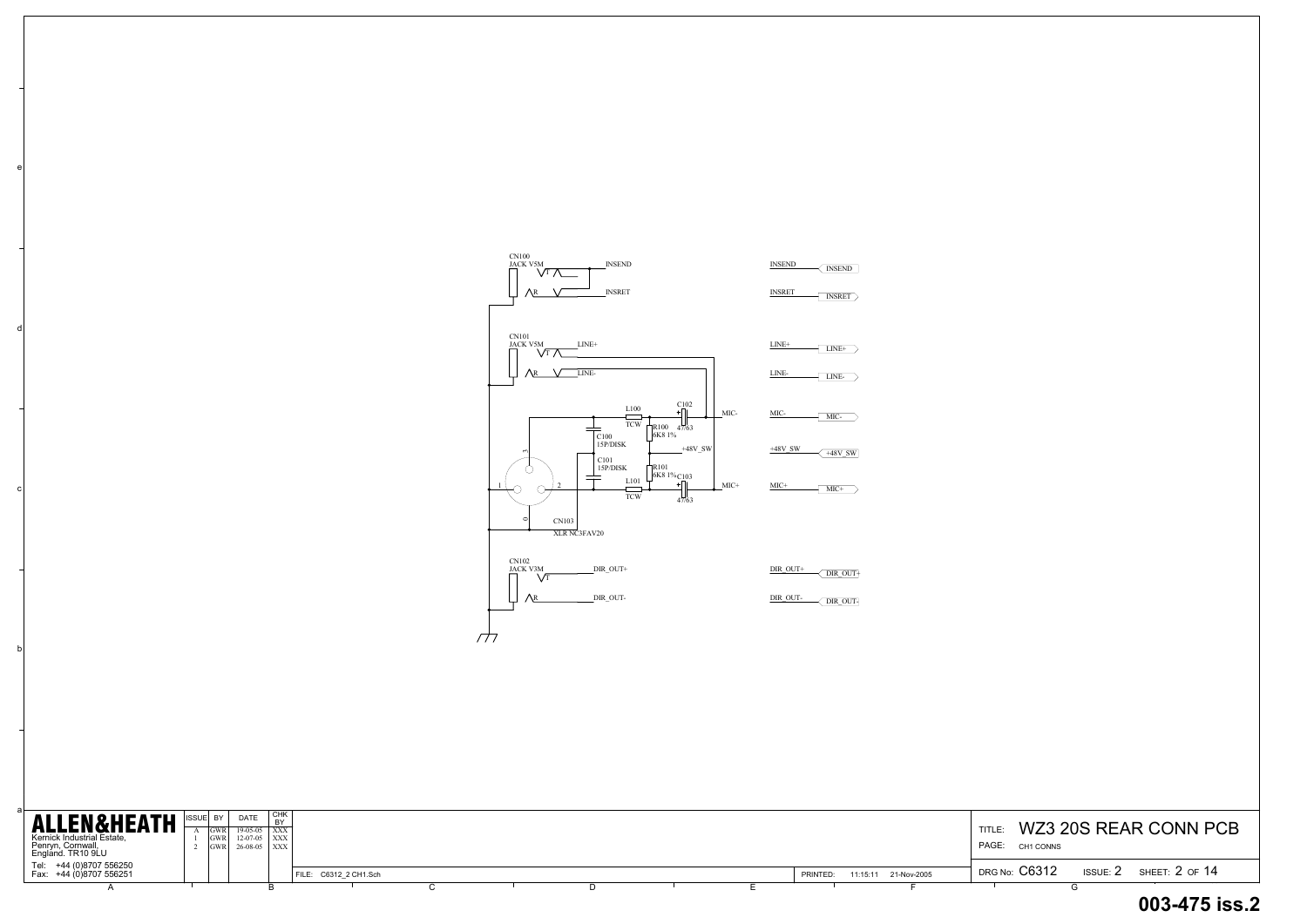c

d

e

## TITLE: WZ3 20S REAR CONN PCB DRG No:  $C6312$  issue:  $2$  sheet:  $2$  of  $14$  **003-475 iss.2**CH1 CONNS

| <b>ALLEN&amp;HEATH</b><br>Kernick Industrial Estate,<br>Penryn, Cornwall,<br>England. TR10 9LU | ISSUE BY<br><b>GWR</b> | <b>DATE</b><br>$19-05-05$ $\overline{)$ XXX<br>$GWR$ 12-07-05 $\overline{XX}$<br>$GWR$ 26-08-05 $\overline{)$ XXX | I CHK<br><b>BY</b> |                       |  |  |          |                      | WZ3 20S REAR CONN P<br>TITLE:<br>PAGE:<br>CH1 CONNS   |
|------------------------------------------------------------------------------------------------|------------------------|-------------------------------------------------------------------------------------------------------------------|--------------------|-----------------------|--|--|----------|----------------------|-------------------------------------------------------|
| Tel: +44 (0)8707 556250<br>Fax: +44 (0)8707 556251                                             |                        |                                                                                                                   |                    | FILE: C6312_2 CH1.Sch |  |  | PRINTED: | 11:15:11 21-Nov-2005 | <b>DRG No: C6312</b><br>ISSUE: $2$ SHEET: $2$ OF $14$ |
|                                                                                                |                        |                                                                                                                   |                    |                       |  |  |          |                      |                                                       |

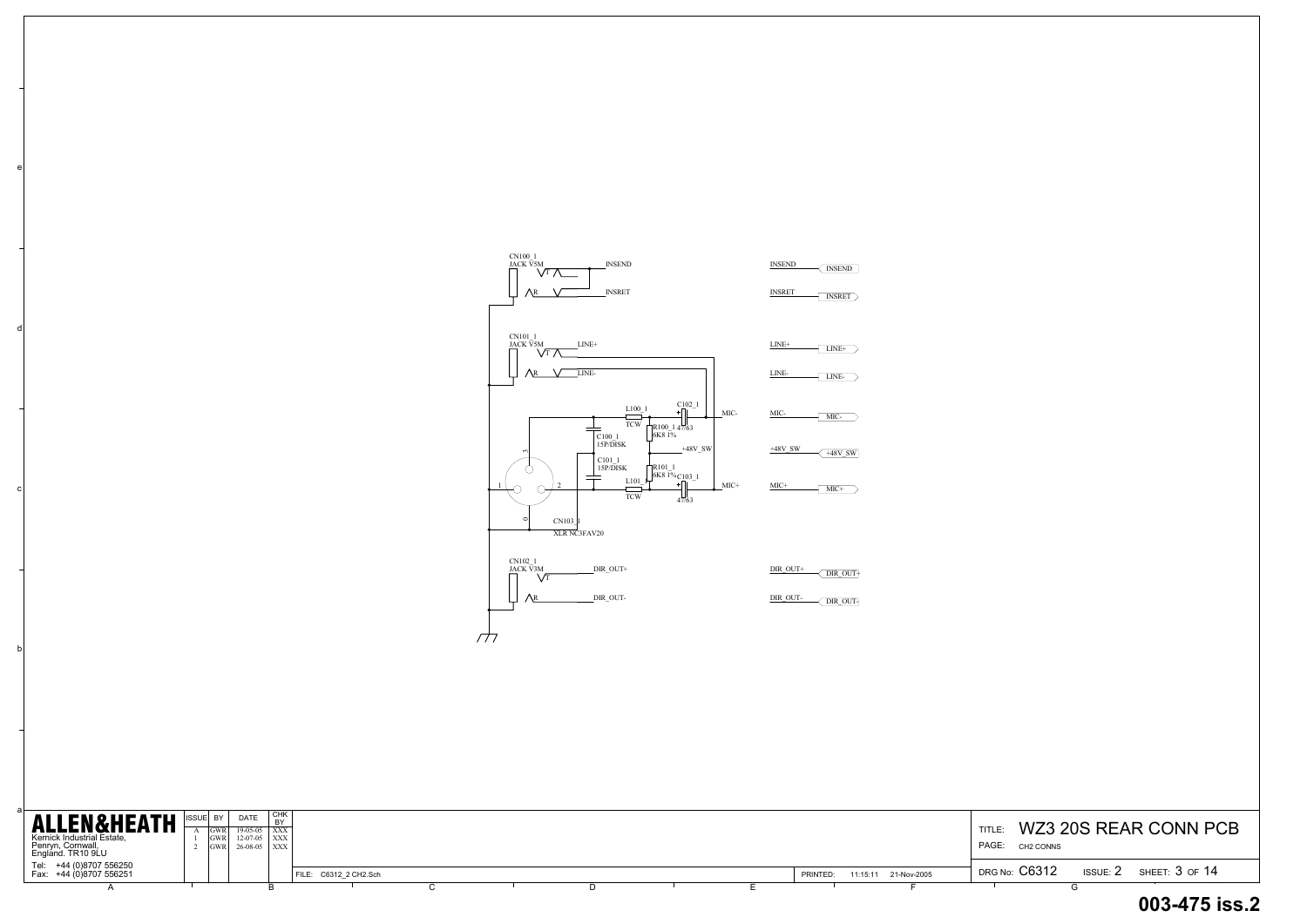b

c

d

e

| <b>ALLEN&amp;HEATH</b><br>Kernick Industrial Estate,<br>Penryn, Cornwall,<br>England. TR10 9LU | <b>ISSUE BY</b> | <b>DATE</b><br>$19-05-05$   XXX<br>$12-07-05$ XXX<br>$26-08-05$ $\overline{\text{XXX}}$ | CHK |                       |  |  |          |                      | WZ3 20S REAR CONN PCB<br>TITLE:<br>PAGE: CH2 CONNS |                    |
|------------------------------------------------------------------------------------------------|-----------------|-----------------------------------------------------------------------------------------|-----|-----------------------|--|--|----------|----------------------|----------------------------------------------------|--------------------|
| Tel: +44 (0)8707 556250<br>Fax: +44 (0)8707 556251                                             |                 |                                                                                         |     | FILE: C6312 2 CH2.Sch |  |  | PRINTED. | 11:15:11 21-Nov-2005 | DRG No: C6312<br>ISSUE: $2$                        | SHEET: $3$ of $14$ |
|                                                                                                |                 |                                                                                         |     |                       |  |  |          |                      |                                                    |                    |

# DRG No:  $C6312$  issue:  $2$  sheet:  $3$  of  $14$ **003-475 iss.2**

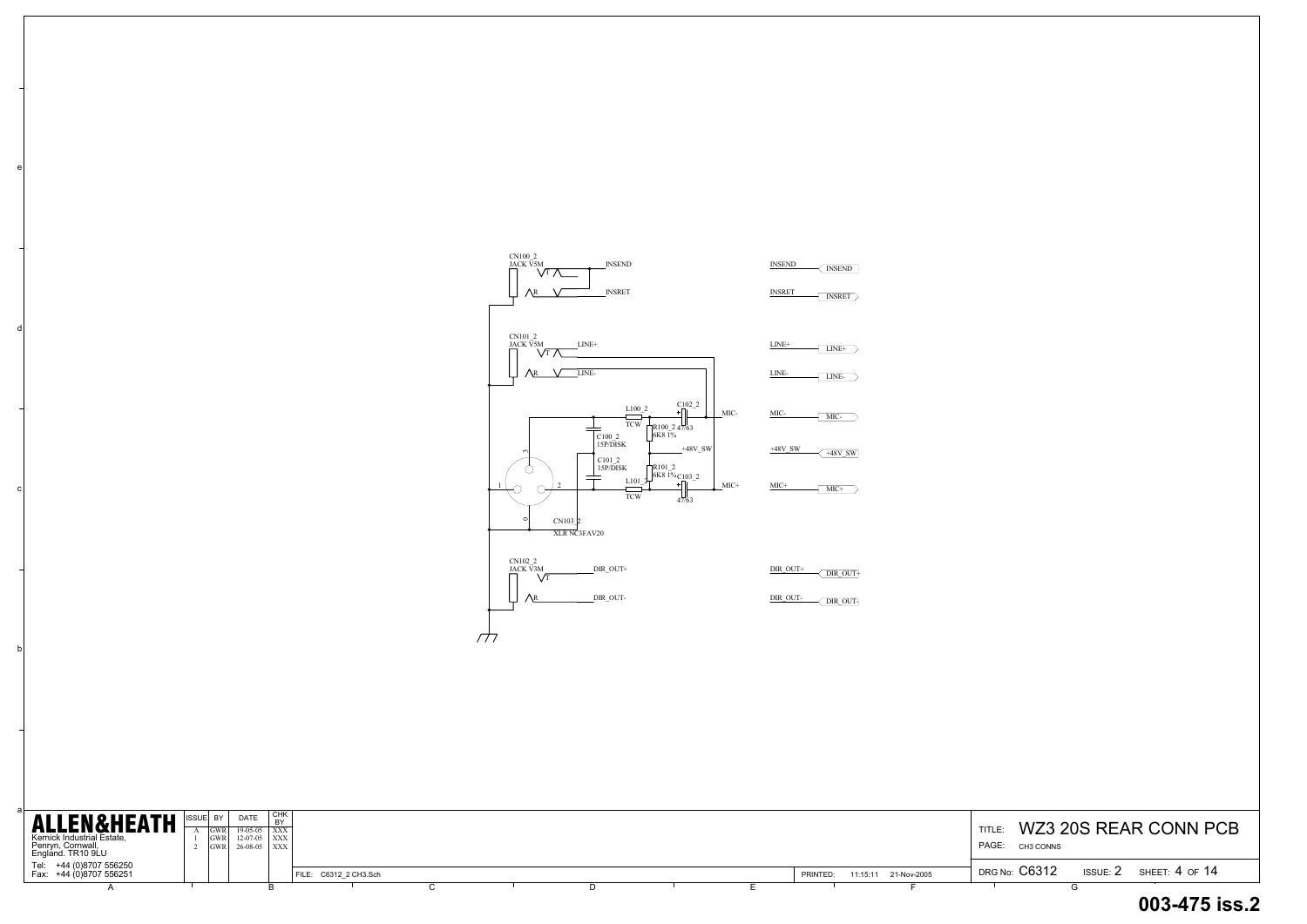b

c

d

e

TITLE: WZ3 20S REAR CONN PCB PAGE: CH3 CONNS

| <b>ALLEN&amp;HEATH</b><br>Kernick Industrial Estate,<br>Penryn, Cornwall,<br>England. TR10 9LU | <b>ISSUE</b> | IGWR I<br><b>IGWR</b> | DATE<br>$19-05-05$   XXX<br>$12-07-05$   XXX  <br>$26-08-05$ $\vert$ XXX | СНК<br>D <sub>1</sub> |                       |  |  |          |                      | <b>TITLE</b><br>PAGE:<br>CH3 CONNS | WZ3 20S REAR CONN P           |
|------------------------------------------------------------------------------------------------|--------------|-----------------------|--------------------------------------------------------------------------|-----------------------|-----------------------|--|--|----------|----------------------|------------------------------------|-------------------------------|
| Tel: +44 (0)8707 556250<br>Fax: +44 (0)8707 556251                                             |              |                       |                                                                          |                       | FILE: C6312 2 CH3.Sch |  |  | PRINTED: | 11:15:11 21-Nov-2005 | DRG No: C6312                      | ISSUE: $2$ SHEET: $4$ OF $14$ |
|                                                                                                |              |                       |                                                                          |                       |                       |  |  |          |                      |                                    |                               |

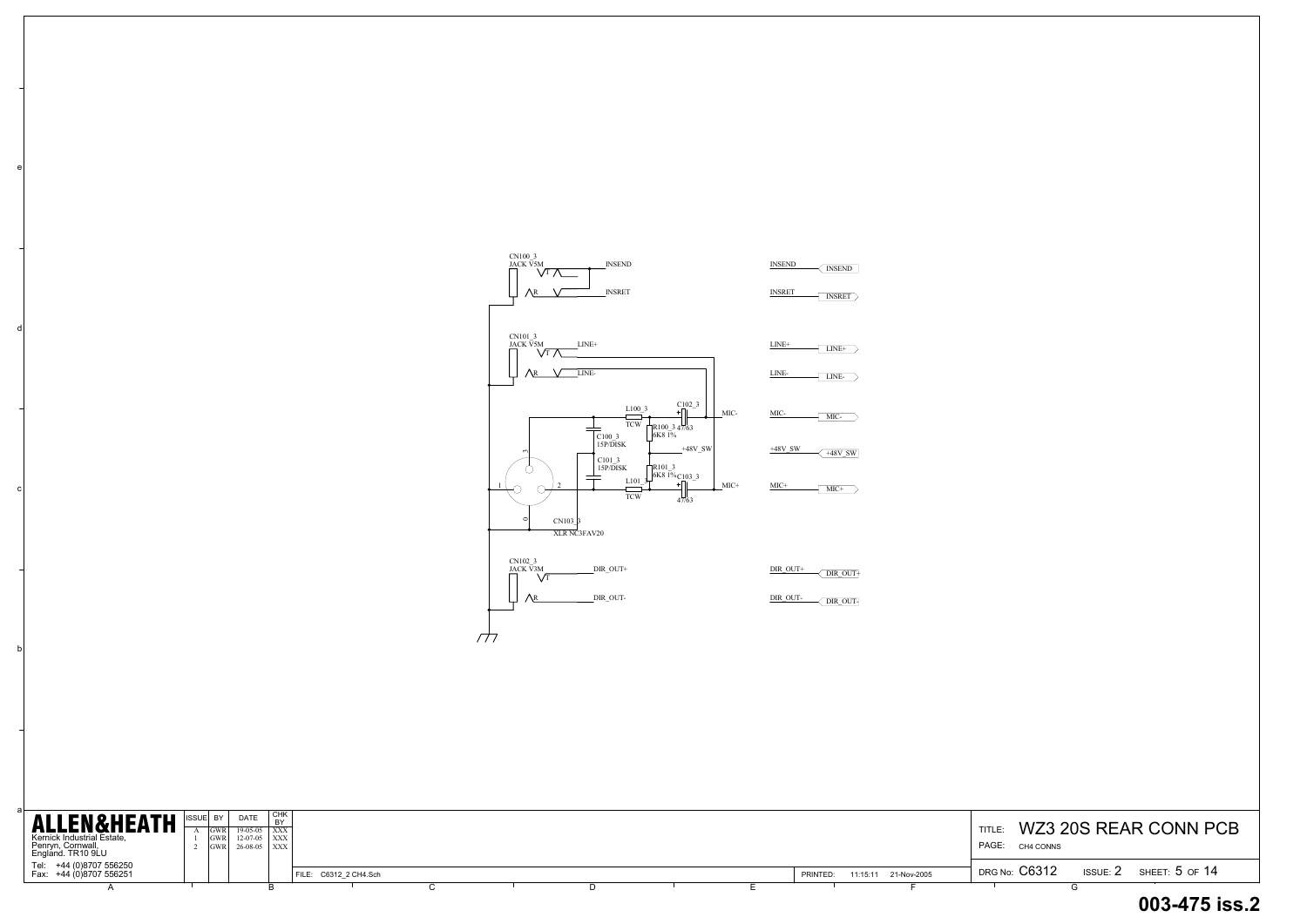b

c

d

e

## TITLE: WZ3 20S REAR CONN PCB DRG No:  $\rm C6312$  issue:  $\rm 2$  sheet:  $\rm 5$  of  $\rm 14$  **003-475 iss.2**CH4 CONNS

| <b>ALLEN&amp;HEATH</b><br>Kernick Industrial Estate,<br>Penryn, Cornwall,<br>England. TR10 9LU | <b>ISSUE</b> | -IGWF<br>IGWR I<br><b>IGWRI</b> | DATE<br>$19-05-05$   XXX<br>$12-07-05$ $\overline{\text{XXX}}$<br>$26-08-05$   XXX | СНК<br>$\mathbf{D}$ |                       |  |  |  |          |                      | TITLE.<br>PAGE:<br>CH4 CONNS |                 | WZ3 20S REAR CONN P |
|------------------------------------------------------------------------------------------------|--------------|---------------------------------|------------------------------------------------------------------------------------|---------------------|-----------------------|--|--|--|----------|----------------------|------------------------------|-----------------|---------------------|
| Tel: +44 (0)8707 556250<br>Fax: +44 (0)8707 556251                                             |              |                                 |                                                                                    |                     | FILE: C6312 2 CH4.Sch |  |  |  | PRINTED: | 11:15:11 21-Nov-2005 | DRG No: C6312                | <b>ISSUE: 2</b> | SHEET: 5 OF 14      |
|                                                                                                |              |                                 |                                                                                    |                     |                       |  |  |  |          |                      |                              |                 |                     |

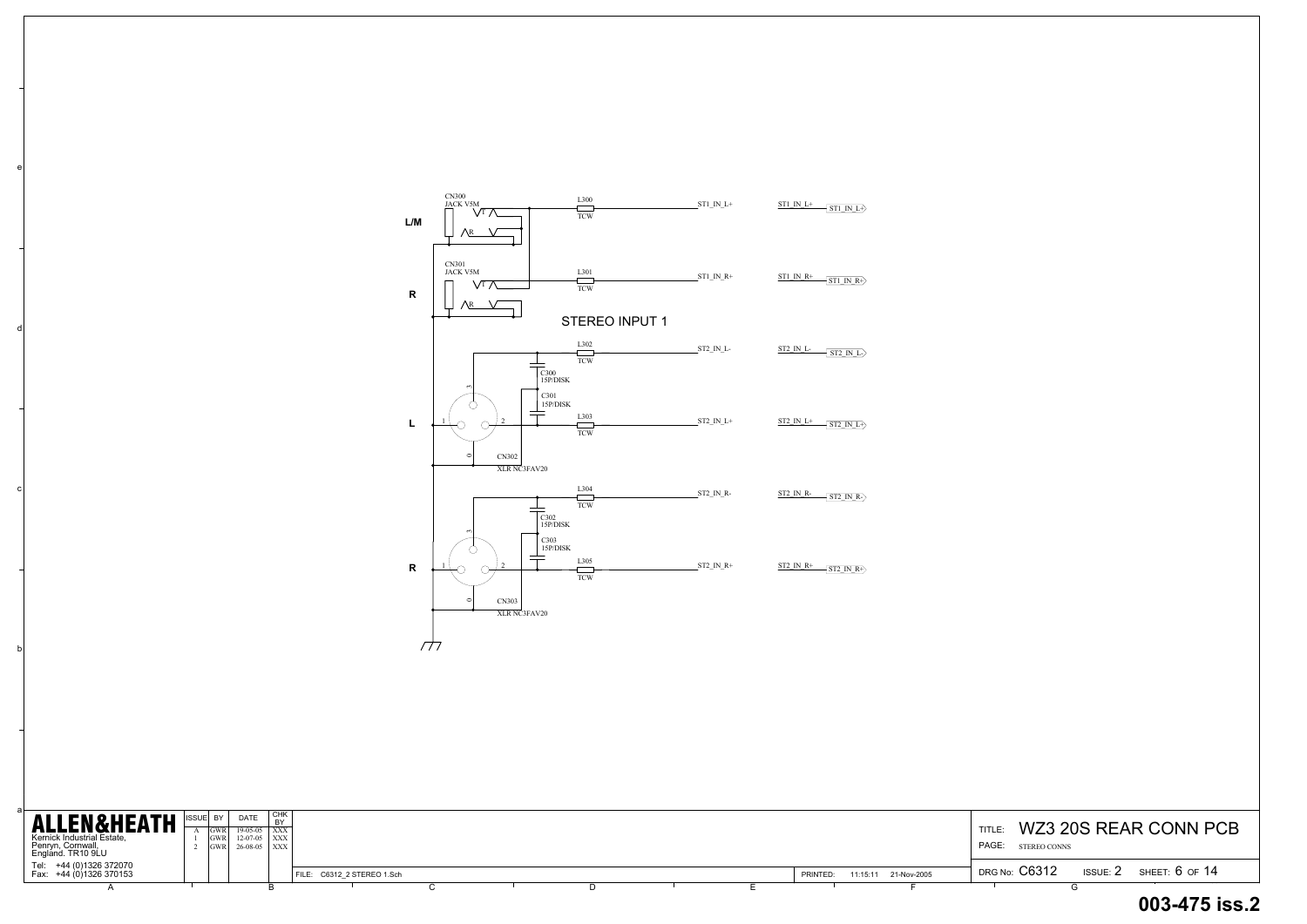b

c

d

e

#### TITLE: WZ3 20S REAR CONN PCB DRG No: C6312 DRG No:  $C6312$  issue:  $2$  sheet:  $6$  of  $14$ PAGE: STEREO CONNS

| <b>ALLEN&amp;HEATH</b><br>Kernick Industrial Estate,<br>Penryn, Cornwall,<br>England. TR10 9LU | IGWR<br><b>GWR</b><br>IGWR I | <b>DATE</b><br>$19-05-05$   XXX<br>$12-07-05$ $\overline{\text{XXX}}$<br>$26-08-05$ $\vert$ XXX | CHK<br><b>DV</b> |                            |  |  |  |          |                      | <b>TITLE</b><br>PAGE: | <b>STEREO CONNS</b>  |            | WZ3 20S REAR CONN P |
|------------------------------------------------------------------------------------------------|------------------------------|-------------------------------------------------------------------------------------------------|------------------|----------------------------|--|--|--|----------|----------------------|-----------------------|----------------------|------------|---------------------|
| Tel: +44 (0)1326 372070<br>Fax: +44 (0)1326 370153                                             |                              |                                                                                                 |                  | FILE: C6312 2 STEREO 1.Sch |  |  |  | PRINTED: | 11:15:11 21-Nov-2005 |                       | <b>DRG No: C6312</b> | ISSUE: $2$ | SHEET: 6 OF 14      |
|                                                                                                |                              |                                                                                                 |                  |                            |  |  |  |          |                      |                       |                      |            |                     |

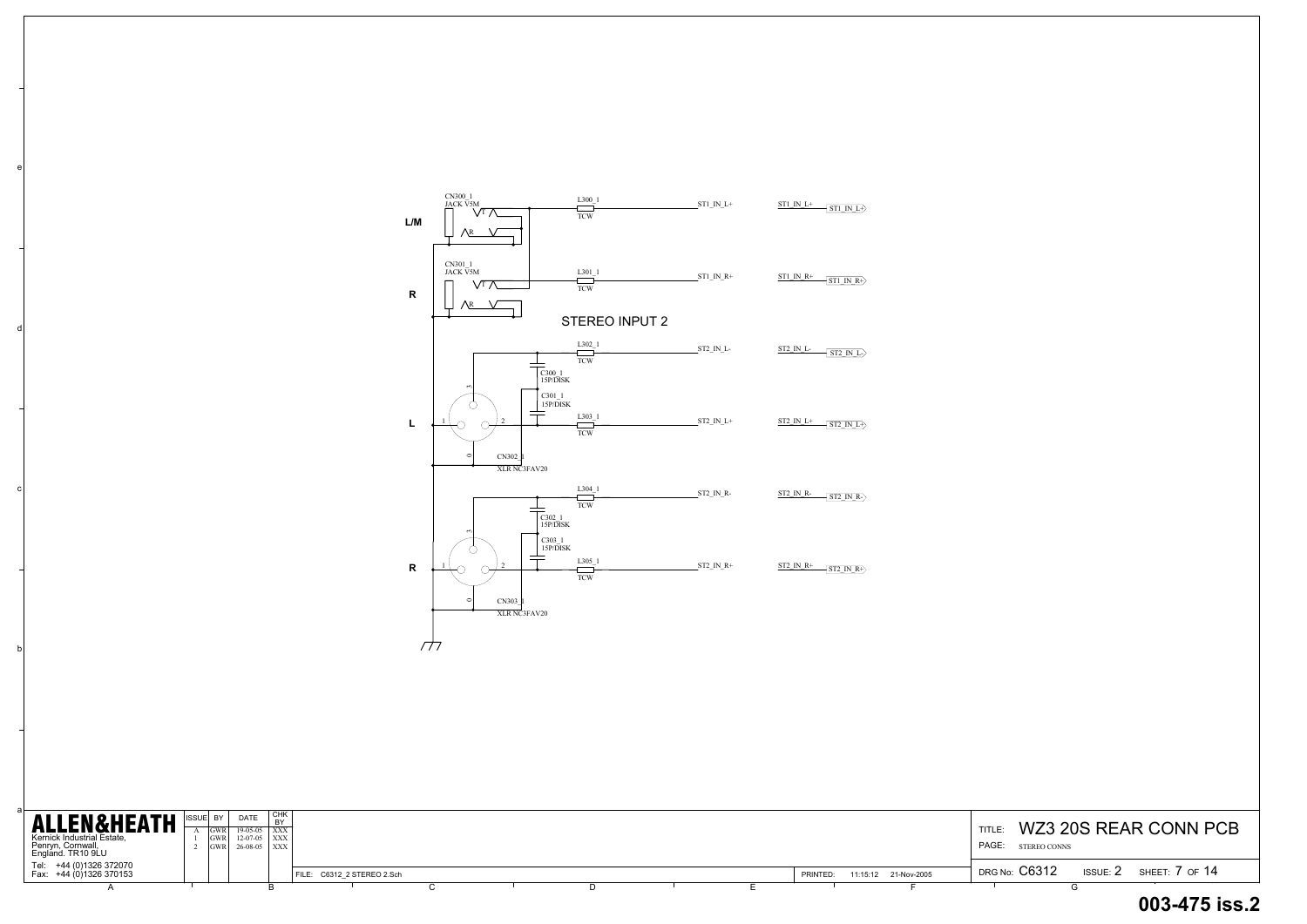b

c

d

e

## TITLE: WZ3 20S REAR CONN PCB DRG No:  $\rm C6312$  issue: 2 sheet: 7 of 14 **003-475 iss.2**STEREO CONNS

| <b>ALLEN&amp;HEATH</b><br>Kernick Industrial Estate,<br>Penryn, Cornwall,<br>England. TR10 9LU | BY,<br>IGWR <sub>1</sub> | <b>DATE</b><br>$19-05-05$   XXX<br>$12-07-05$   XXX  <br>$26-08-05$ $\overline{)$ XXX | ∣ снк |                            |  |  |  |          |                      | <b>TITLE</b><br>PAGE: | STEREO CONNS         |                 | WZ3 20S REAR CONN P |
|------------------------------------------------------------------------------------------------|--------------------------|---------------------------------------------------------------------------------------|-------|----------------------------|--|--|--|----------|----------------------|-----------------------|----------------------|-----------------|---------------------|
| Tel: +44 (0)1326 372070<br>Fax: +44 (0)1326 370153                                             |                          |                                                                                       |       | FILE: C6312 2 STEREO 2.Sch |  |  |  | PRINTED: | 11:15:12 21-Nov-2005 |                       | <b>DRG No: C6312</b> | <b>ISSUE: 2</b> | SHEET: 7 OF 14      |
|                                                                                                |                          |                                                                                       |       |                            |  |  |  |          |                      |                       |                      |                 |                     |

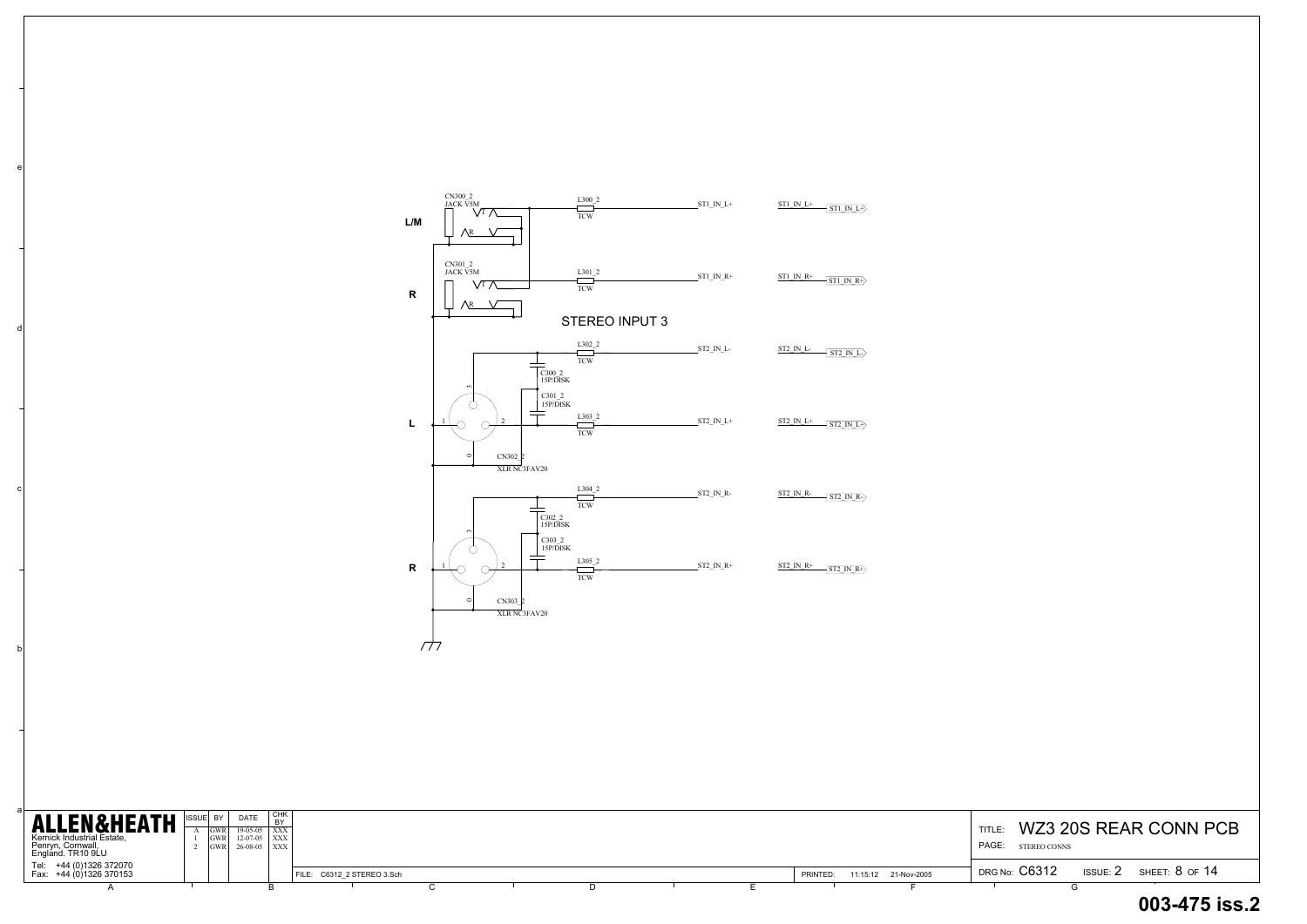b

c

d

e

| <b>ALLEN&amp;HEATH</b><br>Kernick Industrial Estate,<br>Penryn, Cornwall,<br>England. TR10 9LU | :  BY<br>IGWR I<br><b>IGWR</b><br>IGWR I | <b>DATE</b><br>19-05-05 XXX<br>$12-07-05$ $\overline{\phantom{1}}$ XXX<br>$26-08-05$ $\overline{)$ XXX | I снк |                            |  |  |  |  |          |                      | TITLE.<br>PAGE: | STEREO CONNS  |                 | WZ3 20S REAR CONN P |
|------------------------------------------------------------------------------------------------|------------------------------------------|--------------------------------------------------------------------------------------------------------|-------|----------------------------|--|--|--|--|----------|----------------------|-----------------|---------------|-----------------|---------------------|
| Tel: +44 (0)1326 372070<br>Fax: +44 (0)1326 370153                                             |                                          |                                                                                                        |       | FILE: C6312 2 STEREO 3.Sch |  |  |  |  | PRINTED: | 11:15:12 21-Nov-2005 |                 | DRG No: C6312 | <b>ISSUE: 2</b> | SHEET: 8 OF 14      |
|                                                                                                |                                          |                                                                                                        |       |                            |  |  |  |  |          |                      |                 |               |                 |                     |

# TITLE: WZ3 20S REAR CONN PCB PAGE: STEREO CONNS **003-475 iss.2**

| L/M          | CN300 <sub>_2</sub><br>JACK V5M<br>Vt 7<br>Λr                                                  | L300 2<br><b>TCW</b>           | $ST1$ <sub>_IN_L+</sub> | ST1 IN L+<br>$\sqrt{\text{ST1 IN L}}$                   |
|--------------|------------------------------------------------------------------------------------------------|--------------------------------|-------------------------|---------------------------------------------------------|
| $\mathsf{R}$ | CN301 2<br>JACK V5M<br>$\sqrt{T}$<br>∧r                                                        | $L301_2$<br><b>TCW</b>         | $ST1$ <sub>_IN_R+</sub> | ST1 IN R+<br>$\overline{\text{ST1\_IN\_R+}}$            |
|              |                                                                                                | STEREO INPUT 3                 |                         |                                                         |
|              | $\begin{array}{c} \text{C300\_2}\\ \text{15P/DISK} \end{array}$                                | L302 2<br><b>TCW</b>           | $\rm ST2\;$ IN $\;$ L-  | ST2 IN L-<br>$\overline{\text{ST2 IN L}}$               |
| L            | $\sim$<br>$\frac{\rm C301\_2}{\rm 15P/\bar{D}\rm ISK}$<br>$\overline{c}$<br>$\circ$<br>CN302 2 | L303 2<br><b>TCW</b>           | $ST2$ $IN_L+$           | $ST2 IN L+$<br>$\left\langle$ ST2 IN L+ $\right\rangle$ |
|              | XLR NC3FAV20<br>$C302_2$<br>15P/DISK                                                           | $L304_2$<br><b>TCW</b>         | $ST2$ <sub>_IN_R-</sub> | ST2 IN R-<br>$\sqrt{\text{ST2 IN R}}$                   |
| ${\sf R}$    | $\mathbf{c}$<br>$C303_2$<br>15P/DISK<br>$\overline{2}$<br>$\circ$<br>CN303_2<br>XLR NC3FAV20   | L305 2<br>$\operatorname{TCW}$ | $ST2$ $IN_R+$           | $ST2 IN R+$<br>$\overline{\text{ST2\_IN\_R+}}$          |
| 777          |                                                                                                |                                |                         |                                                         |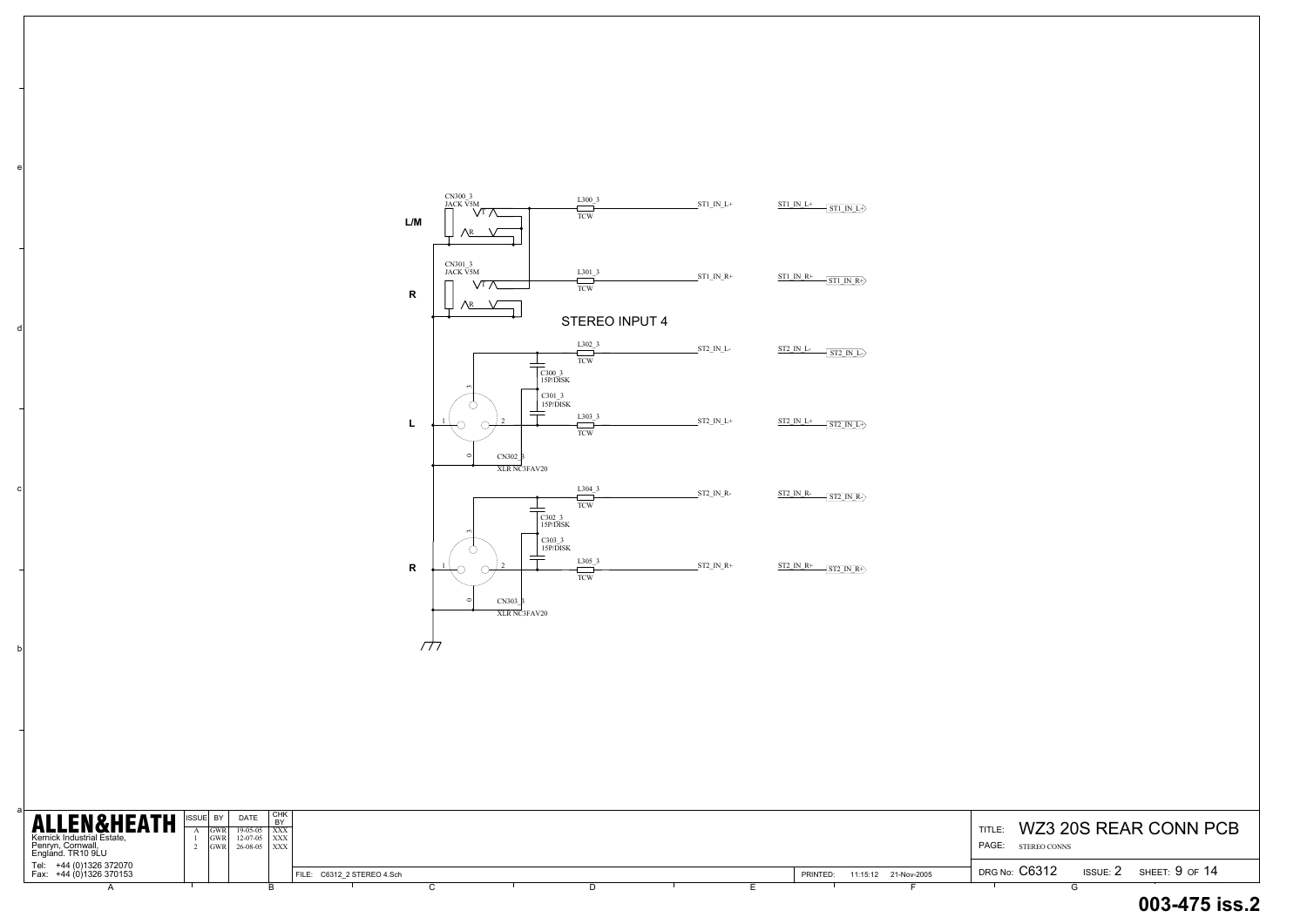c

d

e

| <b>ALLEN&amp;HEATH</b><br>Kernick Industrial Estate,<br>Penryn, Cornwall,<br>England. TR10 9LU | SUEL BY I<br><b>GWR</b> | <b>DATE</b><br>$19-05-05$ XXX<br>$GWR$ 12-07-05 $\vert$ XXX<br>$GWR$ 26-08-05 $XXX$ | CHK<br><b>BY</b> |                            |  |  |  |          |                      | TITLE:<br><b>PAGE:</b> STEREO CONNS | WZ3 20S REAR CONN P |                |
|------------------------------------------------------------------------------------------------|-------------------------|-------------------------------------------------------------------------------------|------------------|----------------------------|--|--|--|----------|----------------------|-------------------------------------|---------------------|----------------|
| Tel: +44 (0)1326 372070<br>Fax: +44 (0)1326 370153                                             |                         |                                                                                     |                  | FILE: C6312 2 STEREO 4.Sch |  |  |  | PRINTED: | 11:15:12 21-Nov-2005 | DRG No: C6312                       | <b>ISSUE: 2</b>     | SHEET: 9 OF 14 |
|                                                                                                |                         |                                                                                     |                  |                            |  |  |  |          |                      |                                     |                     |                |

# TITLE: WZ3 20S REAR CONN PCB PAGE: STEREO CONNS **003-475 iss.2**

| ${\sf L/M}$ | CN300 3<br>JACK V5M<br>Vī<br>$\sqrt{R}$                                                    | $L300_3$<br><b>TCW</b> | $ST1$ <sup>IN</sup> <sup>L+</sup>     | $ST1$ IN $L+$<br>$-$ ST1 IN L+ $>$                                  |
|-------------|--------------------------------------------------------------------------------------------|------------------------|---------------------------------------|---------------------------------------------------------------------|
| ${\sf R}$   | CN301_3<br>JACK V <sub>5M</sub><br>$\sqrt{\scriptscriptstyle\text{T}}$ $7$<br>$\sqrt{R}$   | $L301_3$<br><b>TCW</b> | $ST1$ $IN$ <sub><math>R+</math></sub> | $ST1$ IN $R+$<br>$\overline{\text{ST1\_IN\_R+}}$                    |
|             |                                                                                            | <b>STEREO INPUT 4</b>  |                                       |                                                                     |
|             | C300_3<br>15P/DISK                                                                         | L302 3<br><b>TCW</b>   | ST2_IN_L-                             | <b>ST2_IN_L-</b><br>$\sqrt{\text{ST2} \text{IN} \text{L}}$          |
| L           | $\mathbf{f}$<br>C301_3<br>15P/DISK<br>$\overline{2}$<br>$\circ$<br>CN302_3                 | L303 3<br><b>TCW</b>   | $ST2$ $IN_L+$                         | $\rm ST2\;$ IN $\rm L+$<br>$\left\langle$ ST2 IN L+ $\right\rangle$ |
|             | XLR NC3FAV20<br>$C302_3$<br>15P/DISK                                                       | L304 3<br><b>TCW</b>   | $ST2$ <sub>IN</sub> $R$ -             | ST2 IN R-<br>$ST2$ IN R- $>$                                        |
| ${\sf R}$   | $\sim$<br>C303_3<br>15P/DISK<br>$\overline{2}$<br>$\circ$<br>$CN303 \beta$<br>XLR NC3FAV20 | L305 3<br><b>TCW</b>   | $ST2$ <sub>_IN_R+</sub>               | $ST2 IN R+$<br>$\overline{\text{ST2\_IN\_R+}}$                      |
| Т П         |                                                                                            |                        |                                       |                                                                     |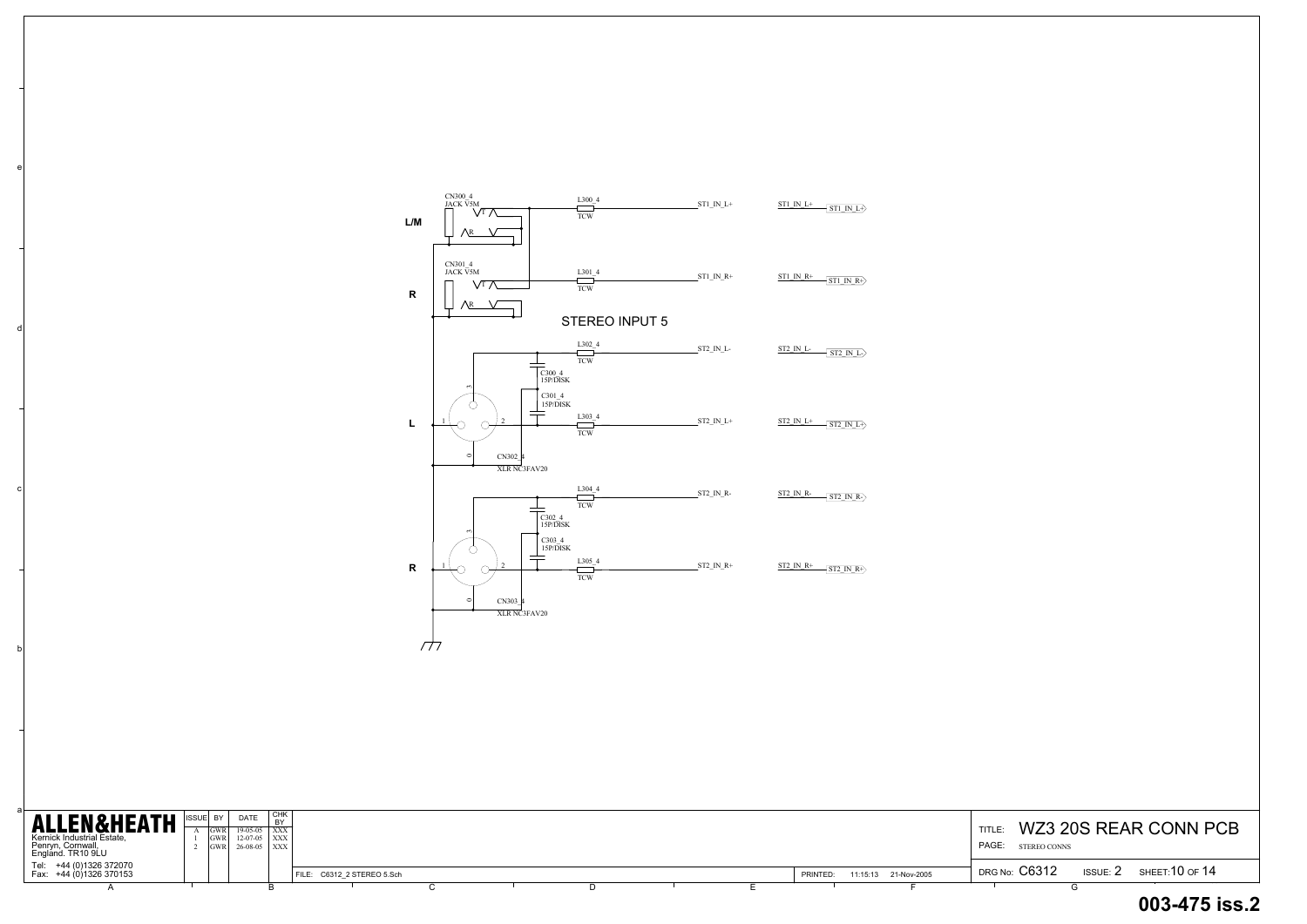c

d

e

| <b>ALLEN&amp;HEATH</b><br>Kernick Industrial Estate,                                         | RY I<br><b>IGWR</b><br><b>IGWR</b><br><b>IGWR</b> | <b>DATE</b><br>$19-05-05$ $\overline{)$ XXX<br>$12-07-05$ $\overline{\phantom{1}}$ XXX<br>$26-08-05$ $\overline{\text{XXX}}$ | I CHK |                            |  |  |  |          |                      | TITLE:<br><b>PAGE:</b> STEREO CONNS | WZ3 20S REAR CONN PCB          |
|----------------------------------------------------------------------------------------------|---------------------------------------------------|------------------------------------------------------------------------------------------------------------------------------|-------|----------------------------|--|--|--|----------|----------------------|-------------------------------------|--------------------------------|
| Penryn, Cornwall,<br>England. TR10 9LU<br>Tel: +44 (0)1326 372070<br>Fax: +44 (0)1326 370153 |                                                   |                                                                                                                              |       | FILE: C6312 2 STEREO 5.Sch |  |  |  | PRINTED: | 11:15:13 21-Nov-2005 | <b>DRG No: C6312</b>                | ISSUE: $2$ SHEET: $10$ OF $14$ |

| L/M         | CN300_4<br>JACK V5M<br>\/T<br>∧R                                    | L300 4<br><b>TCW</b>             | $ST1$ <sup>IN</sup> <sup>L+</sup> | ST1 IN L+<br>$\overline{\text{ST1 IN L}}$               |
|-------------|---------------------------------------------------------------------|----------------------------------|-----------------------------------|---------------------------------------------------------|
| $\mathbf R$ | CN301 4<br>JACK V5M<br>$\sqrt{t}$<br>$\bigwedge R$                  | $L301_4$<br><b>TCW</b>           | $ST1$ $IN_R+$                     | $ST1$ IN R+<br>$\overline{\text{ST1\_IN\_R+}}$          |
|             |                                                                     | STEREO INPUT 5                   |                                   |                                                         |
|             | C300 4<br>15P/DISK                                                  | $L302_4$<br><b>TCW</b>           | ST2_IN_L-                         | <b>ST2 IN L-</b><br>$\sqrt{\text{ST2 IN L}}$            |
| L           | 3<br>$C301_4$<br>15P/DISK<br>$\overline{2}$<br>$\circ$              | L303 4<br><b>TCW</b>             | $ST2$ <sub>_IN_L+</sub>           | $\rm ST2\;$ IN $\rm L+$<br>$\overline{\text{ST2 IN L}}$ |
|             | CN302 4<br>XLR NC3FAV20<br>$\frac{\text{C302}}{\text{15P/DISK}}$    | L304 4<br><b>TCW</b>             | ST2_IN_R-                         | ST2 IN R-<br>$\overline{\text{ST2 IN R-}}$              |
| $\mathbf R$ | 3<br>$C303_4$<br>$15P/\overline{DISK}$<br>$\mathfrak{D}$<br>$\circ$ | $L305_4$<br>$\operatorname{TCW}$ | $ST2$ $IN_R+$                     | $ST2 IN R+$<br>$\sqrt{\text{ST2\_IN\_R+}}$              |
|             | CN303 4<br>XLR NC3FAV20                                             |                                  |                                   |                                                         |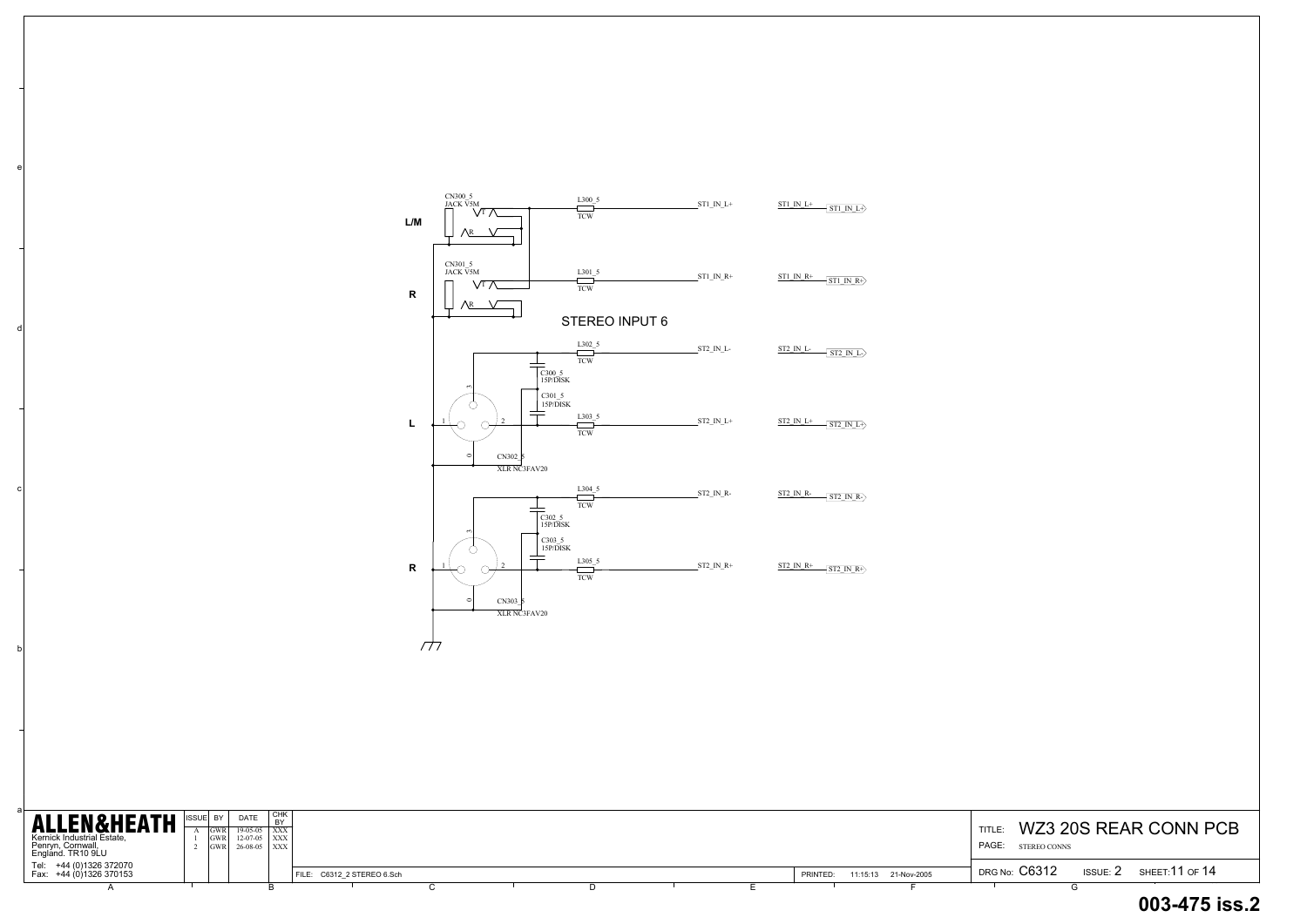b

c

d

e

| <b>ALLEN&amp;HEATH</b><br>Kernick Industrial Estate,<br>Penryn, Cornwall,<br>England. TR10 9LU | IISSUEI BY | <b>DATE</b><br>GWR 26-08-05 XXX | I CHK<br>$19-05-05$ $\overline{)$ XXX<br>$12-07-05$ $\overline{)$ XXX |                            |  |  |          |                      | <b>TITLE</b><br>PAGE:<br>STEREO CONNS |                 | WZ3 20S REAR CONN P |
|------------------------------------------------------------------------------------------------|------------|---------------------------------|-----------------------------------------------------------------------|----------------------------|--|--|----------|----------------------|---------------------------------------|-----------------|---------------------|
| Tel: +44 (0)1326 372070<br>Fax: +44 (0)1326 370153                                             |            |                                 |                                                                       | FILE: C6312 2 STEREO 6.Sch |  |  | PRINTED: | 11:15:13 21-Nov-2005 | DRG No: C6312                         | <b>ISSUE: 2</b> | SHEET:11 OF 14      |
|                                                                                                |            |                                 |                                                                       |                            |  |  |          |                      |                                       |                 |                     |

# TITLE: WZ3 20S REAR CONN PCB PAGE: STEREO CONNS **003-475 iss.2**

| ${\sf L/M}$ | CN300_5<br>JACK V5M<br>./T<br>∧r                                  | L300 5<br><b>TCW</b>    | $ST1$ <sub>_IN_L+</sub>  | ST1 IN L+<br>$\left\langle \frac{\text{ST1 IN L}}{}$                          |
|-------------|-------------------------------------------------------------------|-------------------------|--------------------------|-------------------------------------------------------------------------------|
| ${\sf R}$   | CN301_5<br>JACK V5M<br>$\sqrt{T}$<br>$\sqrt{R}$                   | L301 5<br><b>TCW</b>    | $ST1$ $IN_R+$            | $ST1$ IN $R+$<br>$\overline{\text{ST1\_IN\_R+}}$                              |
|             |                                                                   | <b>STEREO INPUT 6</b>   |                          |                                                                               |
|             | $C300 - 5$<br>15P/DISK                                            | $L302\_5$<br><b>TCW</b> | $ST2$ <sub>_IN_L</sub> _ | $ST2$ IN L-<br>$\sqrt{\text{ST2} \text{IN} L}$                                |
| L           | 3<br>$C301\_5$<br>15P/DISK<br>2<br>$\circ$                        | L303 5<br><b>TCW</b>    | $ST2$ <sub>_IN_L+</sub>  | $\rm ST2\;$ IN $\rm L+$<br>$\overline{\text{ST2}}$ IN L+ $\overline{\text{}}$ |
|             | CN302_5<br>XLR NC3FAV20<br>$C302 - 5$<br>15P/DISK                 | L304 5<br><b>TCW</b>    | ST2_IN_R-                | ST2 IN R-<br>$\sqrt{\text{ST2 IN R}}$                                         |
| ${\sf R}$   | 3<br>$C303_5$<br>15P/DISK<br>$\overline{c}$<br>$\circ$<br>CN303 5 | L305 5<br><b>TCW</b>    | $ST2$ IN $R+$            | $ST2 IN R+$<br>$\overline{\text{ST2\_IN\_R+}}$                                |
| 77          | XLR NC3FAV20                                                      |                         |                          |                                                                               |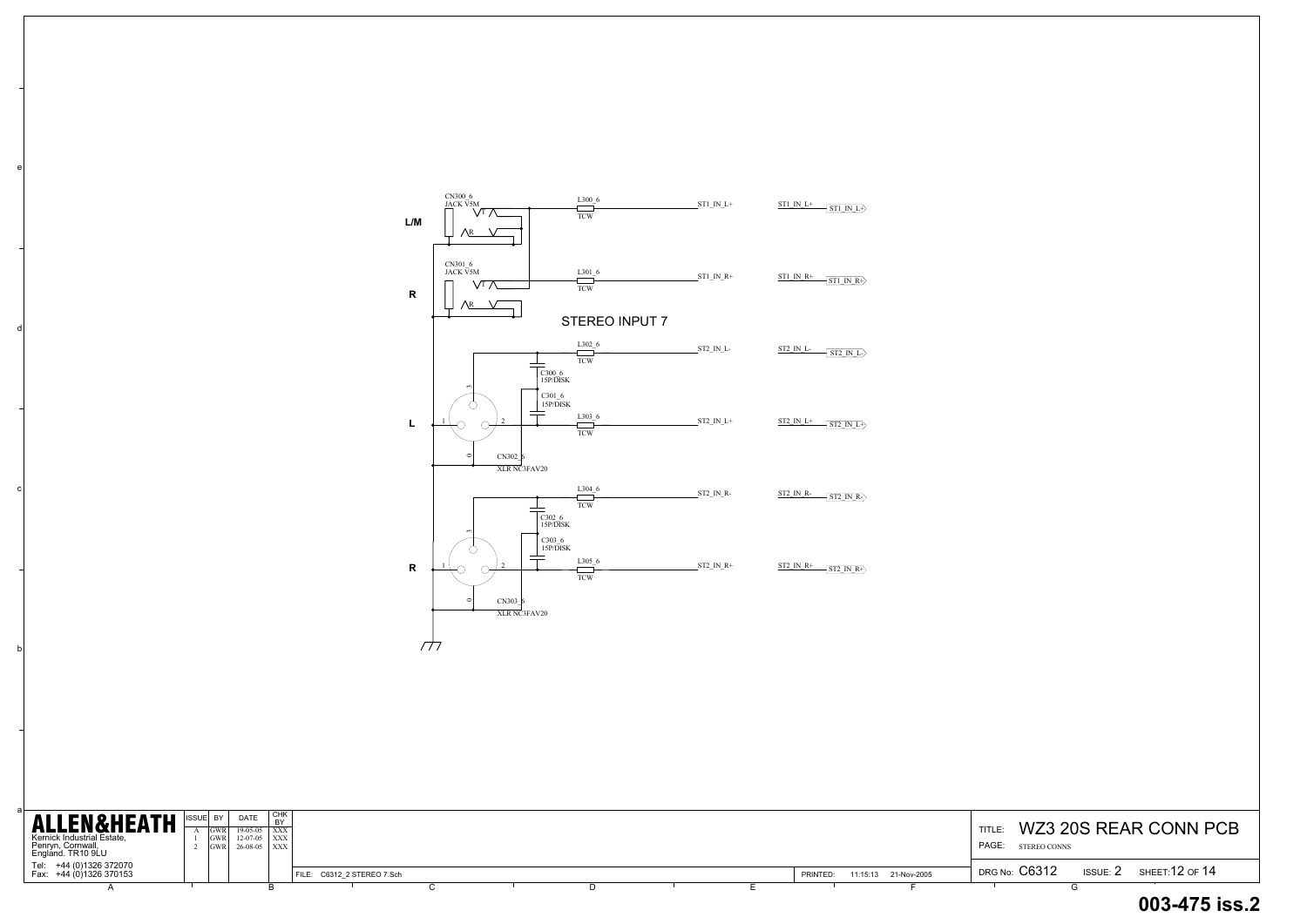b

c

d

e

#### TITLE: WZ3 20S REAR CONN PCB DRG No: C6312 DRG No:  $\rm C6312$  issue: 2 sheet:12 of 14 PAGE: **003-475 iss.2**STEREO CONNS

| <b>ALLEN&amp;HEATH</b><br>Kernick Industrial Estate,<br>Penryn, Cornwall,<br>England. TR10 9LU | <b>IISSUEL</b> | l BY<br>IGWR I<br>IGWR L | <b>DATE</b><br>$19-05-05$ $\overline{\text{XXX}}$<br>$12-07-05$ $\overline{\phantom{1}}$ XXX<br>$ GWR $ 26-08-05 $ XXX $ | CHK<br><b>BY</b> |                            |  |  |  |  |          |                      | TITLE:<br>PAGE: | STEREO CONNS  |            | WZ3 20S REAR CONN P |
|------------------------------------------------------------------------------------------------|----------------|--------------------------|--------------------------------------------------------------------------------------------------------------------------|------------------|----------------------------|--|--|--|--|----------|----------------------|-----------------|---------------|------------|---------------------|
| Tel: +44 (0)1326 372070<br>Fax: +44 (0)1326 370153                                             |                |                          |                                                                                                                          |                  | FILE: C6312 2 STEREO 7.Sch |  |  |  |  | PRINTED: | 11:15:13 21-Nov-2005 |                 | DRG No: C6312 | ISSUE: $2$ | SHEET:12 OF 14      |
|                                                                                                |                |                          |                                                                                                                          |                  |                            |  |  |  |  |          |                      |                 |               |            |                     |

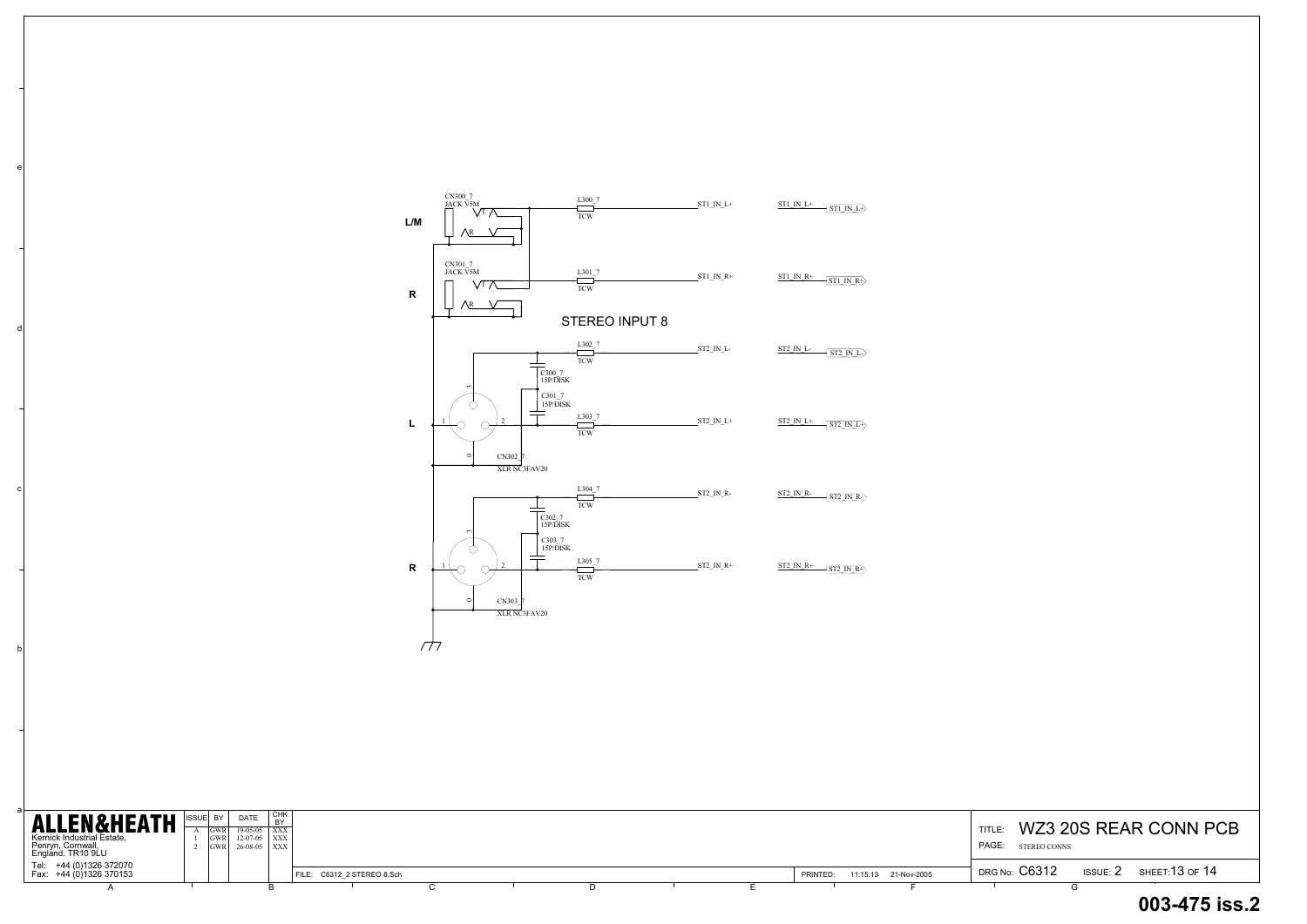c

d

e

| <b>ALLEN&amp;HEATH</b><br>Kernick Industrial Estate,<br>Penryn, Cornwall,<br>England. TR10 9LU | <b>GWR</b><br><b>IGWR</b><br>IGWR | <b>DATE</b><br>$19-05-05$ $\overline{)$ XXX<br>$12-07-05$ $\overline{\smash{\big)}\ xxx}$<br>$26-08-05$ $\overline{\text{XXX}}$ | I СНК |                            |  |  |  |          |                      | TITLE:<br><b>PAGE:</b> STEREO CONNS |            | WZ3 20S REAR CONN PCB |
|------------------------------------------------------------------------------------------------|-----------------------------------|---------------------------------------------------------------------------------------------------------------------------------|-------|----------------------------|--|--|--|----------|----------------------|-------------------------------------|------------|-----------------------|
| Tel: +44 (0)1326 372070<br>Fax: +44 (0)1326 370153                                             |                                   |                                                                                                                                 |       | FILE: C6312 2 STEREO 8.Sch |  |  |  | PRINTED: | 11:15:13 21-Nov-2005 | DRG No: C6312                       | ISSUE: $2$ | sнєєт:13 оғ 14        |
|                                                                                                |                                   |                                                                                                                                 |       |                            |  |  |  |          |                      |                                     |            |                       |

# DRG No:  $\rm C6312$  issue: 2 sheet:13 of 14 **003-475 iss.2**

| ${\sf L/M}$ | CN300_7<br>JACK V5M<br>$\sqrt{T}$<br><b>AR</b>                                                                     | L300 7<br>$\operatorname{TCW}$    | $ST1$ <sup>IN</sup> <sup>L+</sup> | $ST1$ IN $L+$<br>$\sqrt{\text{ST1 IN L}}$                           |
|-------------|--------------------------------------------------------------------------------------------------------------------|-----------------------------------|-----------------------------------|---------------------------------------------------------------------|
| $\mathbf R$ | CN301_7<br>JACK V <sub>5M</sub><br>$\sqrt{T}$<br>∧R                                                                | L301 7<br><b>TCW</b>              | $ST1$ $IN_R+$                     | $ST1$ IN R+<br>$\sqrt{ST1 \ln R}$                                   |
|             |                                                                                                                    | <b>STEREO INPUT 8</b>             |                                   |                                                                     |
|             | C300_7<br>15P/DISK                                                                                                 | $L302$ <sup>7</sup><br><b>TCW</b> | ST2_IN_L-                         | <b>ST2_IN_L-</b><br>$\sqrt{\text{ST2 IN L}}$                        |
| L           | 3<br>C301 7<br>15P/DISK<br>$\overline{c}$                                                                          | L303 7<br><b>TCW</b>              | $ST2$ <sub>_IN_L+</sub>           | $ST2$ IN $L+$<br>$\overline{\text{ST2}}$ IN L+ $\overline{\text{}}$ |
|             | $\circ$<br>CN302_7<br>XLR NC3FAV20<br>C302 7                                                                       | L304 7<br><b>TCW</b>              | ST2_IN_R-                         | $ST2$ IN R-<br>$\sqrt{\text{ST2 IN R}}$                             |
| $\mathbf R$ | 15P/DISK<br>$\overline{\phantom{a}}$<br>C303 7<br>15P/DISK<br>$\overline{2}$<br>$\circ$<br>CN303 7<br>XLR NC3FAV20 | L305 7<br><b>TCW</b>              | $ST2$ <sub>_IN_R+</sub>           | $ST2 IN R+$ $ST2 IN R+$                                             |
|             |                                                                                                                    |                                   |                                   |                                                                     |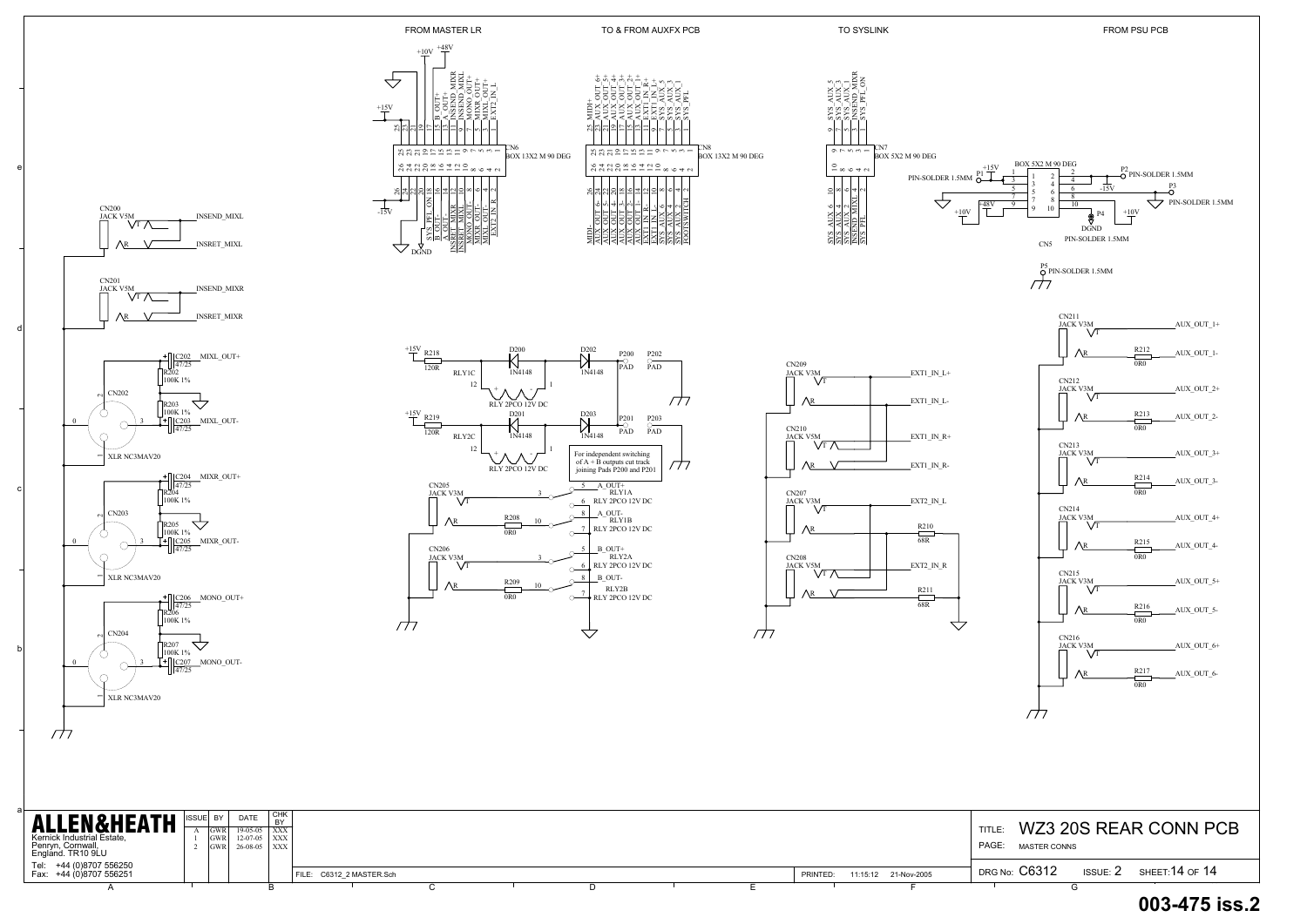+44 (0)8707 556250 +44 (0)8707 556251 <sup>2</sup> FILE: C6312\_2 MASTER.Sch 11:15:12 21-Nov-2005 PRINTED:A PRESERVE A BOOK OF LATTER PRESERVES ARE DESCRIPTION OF LATTER AND LATTER DESCRIPTION OF LATTER AND LATTER AN

Tel: Fax:



 $+10V$ 

 $\overline{\mathcal{L}}$